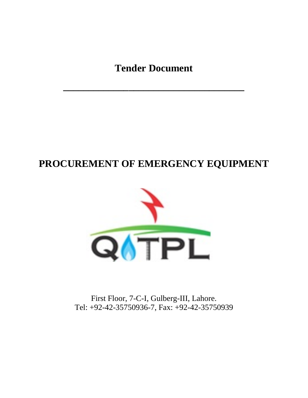**Tender Document**

**\_\_\_\_\_\_\_\_\_\_\_\_\_\_\_\_\_\_\_\_\_\_\_\_\_\_\_\_\_\_\_\_\_\_\_\_**

# **PROCUREMENT OF EMERGENCY EQUIPMENT**



First Floor, 7-C-I, Gulberg-III, Lahore. Tel: +92-42-35750936-7, Fax: +92-42-35750939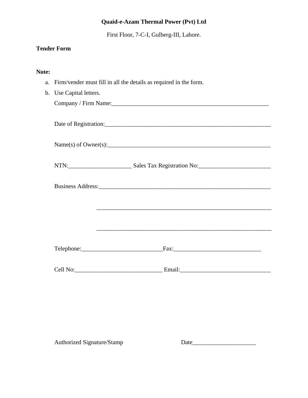First Floor, 7-C-I, Gulberg-III, Lahore.

## **Tender Form**

#### **Note:**

a. Firm/vender must fill in all the details as required in the form.

| b. Use Capital letters. |                                                                                                                      |
|-------------------------|----------------------------------------------------------------------------------------------------------------------|
|                         | Company / Firm Name:                                                                                                 |
|                         |                                                                                                                      |
|                         |                                                                                                                      |
|                         |                                                                                                                      |
|                         | Name(s) of Owner(s):                                                                                                 |
|                         |                                                                                                                      |
|                         |                                                                                                                      |
|                         |                                                                                                                      |
|                         |                                                                                                                      |
|                         |                                                                                                                      |
|                         |                                                                                                                      |
|                         | <u> 1980 - Andrea Santa Andrea Andrea Andrea Andrea Andrea Andrea Andrea Andrea Andrea Andrea Andrea Andrea Andr</u> |
|                         |                                                                                                                      |
|                         |                                                                                                                      |
|                         |                                                                                                                      |
|                         |                                                                                                                      |
|                         |                                                                                                                      |
|                         |                                                                                                                      |
|                         |                                                                                                                      |

Authorized Signature/Stamp Date\_\_\_\_\_\_\_\_\_\_\_\_\_\_\_\_\_\_\_\_\_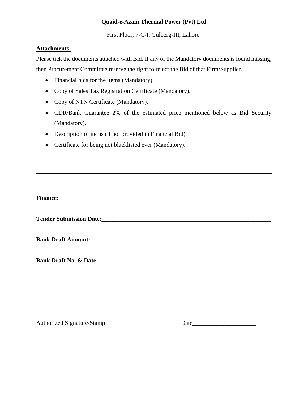First Floor, 7-C-I, Gulberg-III, Lahore.

#### **Attachments:**

Please tick the documents attached with Bid. If any of the Mandatory documents is found missing, then Procurement Committee reserve the right to reject the Bid of that Firm/Supplier.

- Financial bids for the items (Mandatory).
- Copy of Sales Tax Registration Certificate (Mandatory).
- Copy of NTN Certificate (Mandatory).
- CDR/Bank Guarantee 2% of the estimated price mentioned below as Bid Security (Mandatory).
- Description of items (if not provided in Financial Bid).
- Certificate for being not blacklisted ever (Mandatory).

#### **Finance:**

**Tender Submission Date:** 

**Bank Draft Amount:**\_\_\_\_\_\_\_\_\_\_\_\_\_\_\_\_\_\_\_\_\_\_\_\_\_\_\_\_\_\_\_\_\_\_\_\_\_\_\_\_\_\_\_\_\_\_\_\_\_\_\_\_\_\_\_\_\_\_\_\_

**Bank Draft No. & Date: Bank Draft No. & Date:** 

\_\_\_\_\_\_\_\_\_\_\_\_\_\_\_\_\_\_\_\_\_\_\_

Authorized Signature/Stamp Date\_\_\_\_\_\_\_\_\_\_\_\_\_\_\_\_\_\_\_\_\_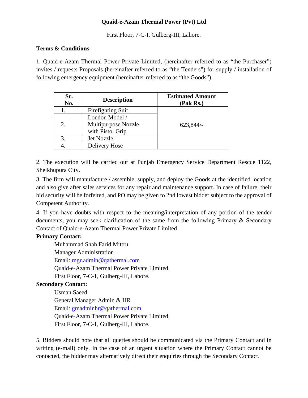First Floor, 7-C-I, Gulberg-III, Lahore.

#### **Terms & Conditions**:

1. Quaid-e-Azam Thermal Power Private Limited, (hereinafter referred to as "the Purchaser") invites / requests Proposals (hereinafter referred to as "the Tenders") for supply / installation of following emergency equipment (hereinafter referred to as "the Goods").

| Sr.<br>No. | <b>Description</b>                      | <b>Estimated Amount</b><br>(Pak Rs.) |
|------------|-----------------------------------------|--------------------------------------|
|            | Firefighting Suit                       |                                      |
|            | London Model /                          |                                      |
| 2.         | Multipurpose Nozzle<br>with Pistol Grip | 623,844/                             |
|            | Jet Nozzle                              |                                      |
|            | Delivery Hose                           |                                      |

2. The execution will be carried out at Punjab Emergency Service Department Rescue 1122, Sheikhupura City.

3. The firm will manufacture / assemble, supply, and deploy the Goods at the identified location and also give after sales services for any repair and maintenance support. In case of failure, their bid security will be forfeited, and PO may be given to 2nd lowest bidder subject to the approval of Competent Authority.

4. If you have doubts with respect to the meaning/interpretation of any portion of the tender documents, you may seek clarification of the same from the following Primary & Secondary Contact of Quaid-e-Azam Thermal Power Private Limited.

#### **Primary Contact:**

Muhammad Shah Farid Mittru Manager Administration Email: mgr.admin@qathermal.com Quaid-e-Azam Thermal Power Private Limited, First Floor, 7-C-1, Gulberg-III, Lahore.

## **Secondary Contact:**

Usman Saeed General Manager Admin & HR Email: gmadminhr@qathermal.com Quaid-e-Azam Thermal Power Private Limited, First Floor, 7-C-1, Gulberg-III, Lahore.

5. Bidders should note that all queries should be communicated via the Primary Contact and in writing (e-mail) only. In the case of an urgent situation where the Primary Contact cannot be contacted, the bidder may alternatively direct their enquiries through the Secondary Contact.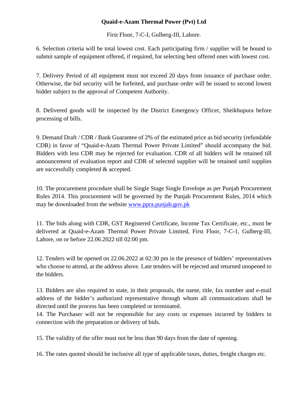First Floor, 7-C-I, Gulberg-III, Lahore.

6. Selection criteria will be total lowest cost. Each participating firm / supplier will be bound to submit sample of equipment offered, if required, for selecting best offered ones with lowest cost.

7. Delivery Period of all equipment must not exceed 20 days from issuance of purchase order. Otherwise, the bid security will be forfeited, and purchase order will be issued to second lowest bidder subject to the approval of Competent Authority.

8. Delivered goods will be inspected by the District Emergency Officer, Sheikhupura before processing of bills.

9. Demand Draft / CDR / Bank Guarantee of 2% of the estimated price as bid security (refundable CDR) in favor of "Quaid-e-Azam Thermal Power Private Limited" should accompany the bid. Bidders with less CDR may be rejected for evaluation. CDR of all bidders will be retained till announcement of evaluation report and CDR of selected supplier will be retained until supplies are successfully completed & accepted.

10. The procurement procedure shall be Single Stage Single Envelope as per Punjab Procurement Rules 2014. This procurement will be governed by the Punjab Procurement Rules, 2014 which may be downloaded from the website [www.ppra.punjab.gov.pk](http://www.ppra.punjab.gov.pk/)

11. The bids along with CDR, GST Registered Certificate, Income Tax Certificate, etc., must be delivered at Quaid-e-Azam Thermal Power Private Limited, First Floor, 7-C-1, Gulberg-III, Lahore, on or before 22.06.2022 till 02:00 pm.

12. Tenders will be opened on 22.06.2022 at 02:30 pm in the presence of bidders' representatives who choose to attend, at the address above. Late tenders will be rejected and returned unopened to the bidders.

13. Bidders are also required to state, in their proposals, the name, title, fax number and e-mail address of the bidder's authorized representative through whom all communications shall be directed until the process has been completed or terminated.

14. The Purchaser will not be responsible for any costs or expenses incurred by bidders in connection with the preparation or delivery of bids.

15. The validity of the offer must not be less than 90 days from the date of opening.

16. The rates quoted should be inclusive all type of applicable taxes, duties, freight charges etc.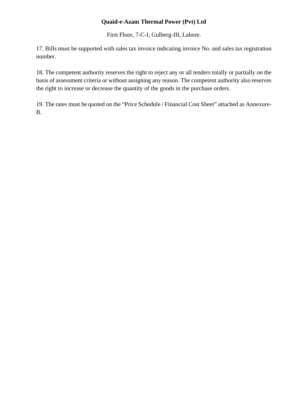First Floor, 7-C-I, Gulberg-III, Lahore.

17. Bills must be supported with sales tax invoice indicating invoice No. and sales tax registration number.

18. The competent authority reserves the right to reject any or all tenders totally or partially on the basis of assessment criteria or without assigning any reason. The competent authority also reserves the right to increase or decrease the quantity of the goods in the purchase orders.

19. The rates must be quoted on the "Price Schedule / Financial Cost Sheet" attached as Annexure-B.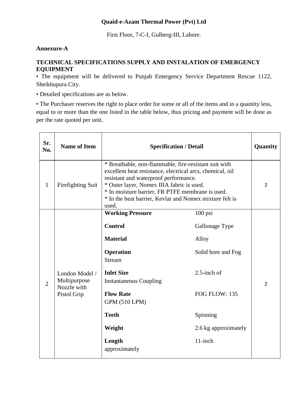First Floor, 7-C-I, Gulberg-III, Lahore.

#### **Annexure-A**

#### **TECHNICAL SPECIFICATIONS SUPPLY AND INSTALATION OF EMERGENCY EQUIPMENT**

• The equipment will be delivered to Punjab Emergency Service Department Rescue 1122, Sheikhupura City.

• Detailed specifications are as below.

• The Purchaser reserves the right to place order for some or all of the items and in a quantity less, equal to or more than the one listed in the table below, thus pricing and payment will be done as per the rate quoted per unit.

| Sr.<br>No.     | <b>Name of Item</b>                                          | <b>Specification / Detail</b>                                                                                                                                                                                                                                                                                                    | Quantity                                                                                                                                     |                |
|----------------|--------------------------------------------------------------|----------------------------------------------------------------------------------------------------------------------------------------------------------------------------------------------------------------------------------------------------------------------------------------------------------------------------------|----------------------------------------------------------------------------------------------------------------------------------------------|----------------|
| $\mathbf{1}$   | Firefighting Suit                                            | * Breathable, non-flammable, fire-resistant suit with<br>excellent heat resistance, electrical arcs, chemical, oil<br>resistant and waterproof performance.<br>* Outer layer, Nomex IIIA fabric is used.<br>* In moisture barrier, FR PTFE membrane is used.<br>* In the heat barrier, Kevlar and Nomex mixture felt is<br>used. |                                                                                                                                              |                |
| $\overline{2}$ | London Model /<br>Multipurpose<br>Nozzle with<br>Pistol Grip | <b>Working Pressure</b><br><b>Control</b><br><b>Material</b><br>Operation<br><b>Stream</b><br><b>Inlet Size</b><br><b>Instantaneous Coupling</b><br><b>Flow Rate</b><br><b>GPM (510 LPM)</b><br><b>Teeth</b><br>Weight<br>Length<br>approximately                                                                                | $100$ psi<br>Gallonage Type<br>Alloy<br>Solid bore and Fog<br>$2.5$ -inch of<br>FOG FLOW: 135<br>Spinning<br>2.6 kg approximately<br>11-inch | $\overline{2}$ |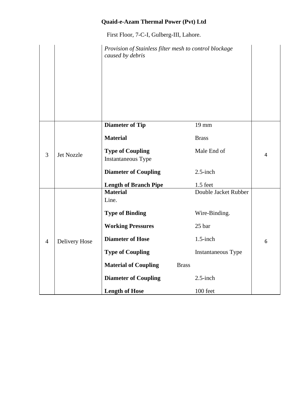First Floor, 7-C-I, Gulberg-III, Lahore.

|                |                   | Provision of Stainless filter mesh to control blockage<br>caused by debris |              |                      |   |
|----------------|-------------------|----------------------------------------------------------------------------|--------------|----------------------|---|
|                |                   | <b>Diameter of Tip</b>                                                     |              | 19 mm                |   |
|                |                   | <b>Material</b>                                                            |              | <b>Brass</b>         |   |
| 3              | <b>Jet Nozzle</b> | <b>Type of Coupling</b>                                                    |              | Male End of          | 4 |
|                |                   | Instantaneous Type                                                         |              |                      |   |
|                |                   | <b>Diameter of Coupling</b>                                                |              | $2.5$ -inch          |   |
|                |                   | <b>Length of Branch Pipe</b>                                               |              | $1.5$ feet           |   |
|                |                   | <b>Material</b>                                                            |              | Double Jacket Rubber |   |
|                |                   | Line.                                                                      |              |                      |   |
|                |                   | <b>Type of Binding</b>                                                     |              | Wire-Binding.        |   |
|                |                   | <b>Working Pressures</b>                                                   |              | 25 bar               |   |
| $\overline{4}$ | Delivery Hose     | <b>Diameter of Hose</b>                                                    |              | $1.5$ -inch          | 6 |
|                |                   | <b>Type of Coupling</b>                                                    |              | Instantaneous Type   |   |
|                |                   | <b>Material of Coupling</b>                                                | <b>Brass</b> |                      |   |
|                |                   | <b>Diameter of Coupling</b>                                                |              | $2.5$ -inch          |   |
|                |                   | <b>Length of Hose</b>                                                      |              | 100 feet             |   |